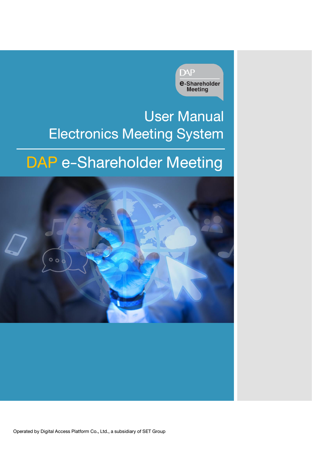

## User Manual Electronics Meeting System

## DAP e-Shareholder Meeting

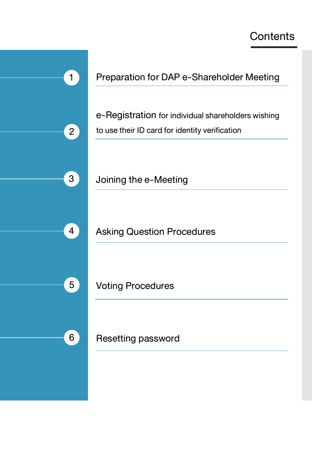## **Contents**

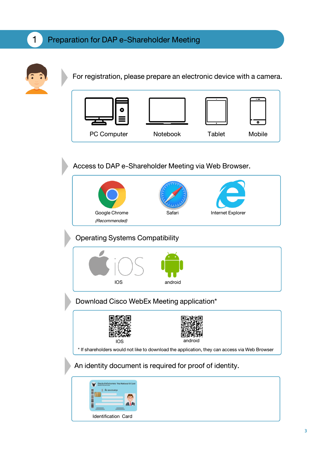### 1 Preparation for DAP e-Shareholder Meeting



For registration, please prepare an electronic device with a camera.



Access to DAP e-Shareholder Meeting via Web Browser.



Operating Systems Compatibility



Download Cisco WebEx Meeting application\*



An identity document is required for proof of identity.

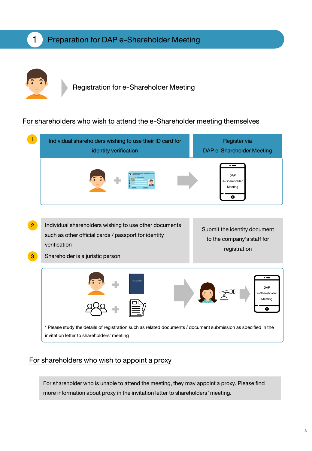

### Registration for e-Shareholder Meeting

### For shareholders who wish to attend the e-Shareholder meeting themselves



#### For shareholders who wish to appoint a proxy

For shareholder who is unable to attend the meeting, they may appoint a proxy. Please find more information about proxy in the invitation letter to shareholders' meeting.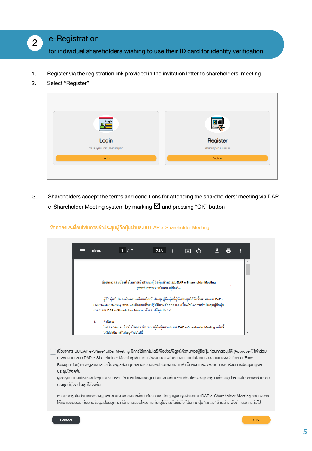### e-Registration

for individual shareholders wishing to use their ID card for identity verification

- 1. Register via the registration link provided in the invitation letter to shareholders' meeting
- 2. Select "Register"

2



3. Shareholders accept the terms and conditions for attending the shareholders' meeting via DAP e-Shareholder Meeting system by marking  $\boxtimes$  and pressing "OK" button

| ข้อตกลงและเงื่อนไขในการเข้าประชุมผู้ถือหุ้นผ่านระบบ DAP e-Shareholder Meeting                                                                                                                                                                                                                                                                                                                                                                                                                                                                                                                                                                                                                                                                                                                                                                       |
|-----------------------------------------------------------------------------------------------------------------------------------------------------------------------------------------------------------------------------------------------------------------------------------------------------------------------------------------------------------------------------------------------------------------------------------------------------------------------------------------------------------------------------------------------------------------------------------------------------------------------------------------------------------------------------------------------------------------------------------------------------------------------------------------------------------------------------------------------------|
| 72%<br>1/2<br>гŋ<br>data:                                                                                                                                                                                                                                                                                                                                                                                                                                                                                                                                                                                                                                                                                                                                                                                                                           |
| ข้อตกลงและเงื่อนไขในการเข้าประชุมผู้ถือหุ้นผ่านระบบ DAP e-Shareholder Meeting<br>(สำหรับการลงทะเบียนของผู้ถือหุ้น)<br>ผู้ถือหุ้นที่ประสงค์จะลงทะเบียนเพื่อเข้าประชุมผู้ถือหุ้นที่ผู้จัดประชุมได้จัดขึ้นผ่านระบบ DAP e-<br>Shareholder Meeting ตกลงและยินยอมที่จะปฏิบัติตามข้อตกลงและเงื่อนไขในการเข้าประชมผัถือหัน<br>ผ่านระบบ DAP e-Shareholder Meeting ตั้งต่อไปนี้ทุกประการ<br>คำนิยาม<br>1.<br>ในข้อตกลงและเงื่อนไขในการเข้าประชุมผู้ถือหุ้นผ่านระบบ DAP e-Shareholder Meeting ฉบับนี้<br>ให้ใช้คำนิยามที่ได้ระบุตังต่อไปนี้                                                                                                                                                                                                                                                                                                                    |
| เนื่องจากระบบ DAP e-Shareholder Meeting มีการใช้เทคโนโลยีเพื่อช่วยพิสูจน์ตัวตนของผู้ถือหุ้นก่อนการอนุมัติ (Approve) ให้เข้าร่วม<br>ประชุมผ่านระบบ DAP e-Shareholder Meeting เช่น มีการใช้ง้อมูลภาพใบหน้าด้วยเทคโนโลยีตรวจสอบและจดจำใบหน้า (Face<br>Recognition) ซึ่งงัอมูลคิงกล่าวเป็นงัอมูลส่วนบุคคลที่มีความอ่อนไหวและมีความจำเป็นหรือเกี่ยวง้องกับการเข้าร่วมการประชุมที่ผู้จัด<br>ประชมได้จัดขึ้น<br>ผู้ถือหุ้นยินยอมให้ผู้จัดประชุมเก็บรวบรวม ใช้ และเปิดเผยงัอมูลส่วนบุคคลที่มีความอ่อนไหวงองผู้ถือหุ้น เพื่อวิตถุประสงค์ในการเข้าร่วมการ<br>ประชุมที่ผู้จัดประชุมได้จัดขึ้น<br>หากผู้ถือหุ้นได้อ่านและตกลงผูกพันตามง้อตกลงและเงื่อนไงในการเง้าประชุมผู้ถือหุ้นผ่านระบบ DAP e-Shareholder Meeting รวมถึงการ<br>ให้ความยินยอมเกี่ยวกับง้อมูลส่วนบุคคลที่มีความอ่อนไหวตามที่ระบุไว้ง้างต้นนี้แล้ว โปรดกดปุ่ม 'ตกลง' ด้านล่างเพื่อดำเนินการต่อไป |
| OK<br>Cancel                                                                                                                                                                                                                                                                                                                                                                                                                                                                                                                                                                                                                                                                                                                                                                                                                                        |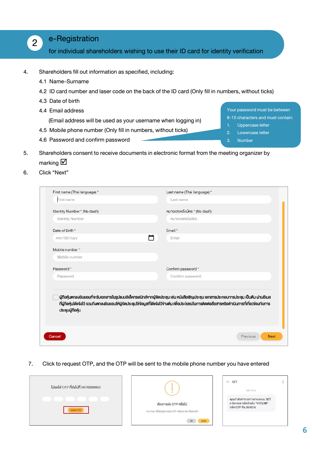#### e-Registration

for individual shareholders wishing to use their ID card for identity verification

4. Shareholders fill out information as specified, including:

4.6 Password and confirm password

4.1 Name-Surname

2

- 4.2 ID card number and laser code on the back of the ID card (Only fill in numbers, without ticks)
- 4.3 Date of birth
- 4.4 Email address

(Email address will be used as your username when logging in)

4.5 Mobile phone number (Only fill in numbers, without ticks)

Your password must be between 8-15 characters and must contain:

- 1. Uppercase letter
- 2. Lowercase letter
- 3. Number
- 5. Shareholders consent to receive documents in electronic format from the meeting organizer by
	- marking  $\boxtimes$
- 6. Click"Next"

| First name (Thai language) * | Last name (Thai language) *                                                                                                                                                                                                                                                                    |
|------------------------------|------------------------------------------------------------------------------------------------------------------------------------------------------------------------------------------------------------------------------------------------------------------------------------------------|
| <b>First name</b>            | Last name                                                                                                                                                                                                                                                                                      |
| Identity Number * (No dash)  | หมายเลงหลังบัตร * (No dash)                                                                                                                                                                                                                                                                    |
| <b>Identity Number</b>       | หมายเลงหลังบัตร                                                                                                                                                                                                                                                                                |
| Date of birth *              | Fmail*                                                                                                                                                                                                                                                                                         |
| mm/dd/yyyy                   | Email                                                                                                                                                                                                                                                                                          |
| Mobile number*               |                                                                                                                                                                                                                                                                                                |
| Mobile number                |                                                                                                                                                                                                                                                                                                |
| Password*                    | Confirm password *                                                                                                                                                                                                                                                                             |
| Password                     | Confirm password                                                                                                                                                                                                                                                                               |
| ประชุมผู้ที่อหุ้น            | ผู้ถือหุ้นตกลงยินยอมที่จะรับเอกสารในรูปแบบอิเล็คทรอนิกส์จากผู้จัดประชุม เช่น หนังสือเชิญประชุม เอกสารประกอบการประชุม เป็นต้น ผ่านอีเมล<br>ที่ผู้ถือหุ้นไค้แจ้งไว้ รวมถึงตกลงยินยอมให้ผู้จัดประชุมใช้ง่อมูลที่ไค้แจ้งไว้ง่างต้น เพื่อประโยชน์ในการติดค่อสื่อสารหรือคำเนินการที่เกี่ยวง้องกับการ |
| Cancel                       | Previous<br><b>Next</b>                                                                                                                                                                                                                                                                        |

7. Click to request OTP, and the OTP will be sent to the mobile phone number you have entered

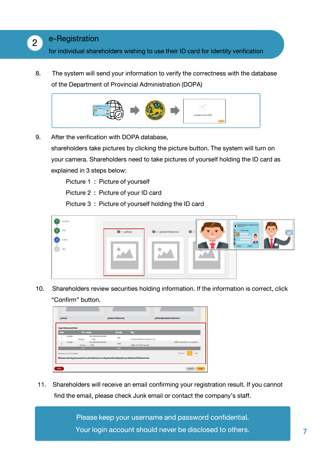### e-Registration

2

for individual shareholders wishing to use their ID card for identity verification

8. The system will send your information to verify the correctness with the database of the Department of Provincial Administration (DOPA)



9. After the verification with DOPA database,

shareholders take pictures by clicking the picture button. The system will turn on your camera. Shareholders need to take pictures of yourself holding the ID card as explained in 3 steps below:

Picture 1: Picture of yourself

Picture2 : Picture of your ID card

Picture3 : Picture of yourself holding the ID card



10. Shareholders review securities holding information. If the information is correct, click "Confirm" button.



11. Shareholders will receive an email confirming your registration result. If you cannot find the email, please check Junk email or contact the company's staff.

> Please keep your username and password confidential. Your login account should never be disclosed to others. **7**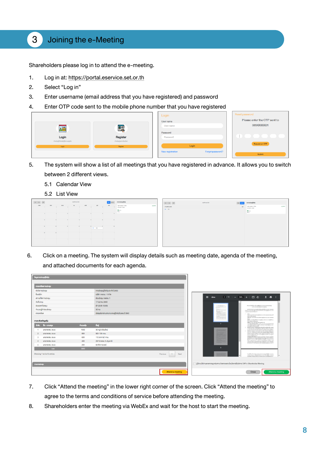### 3 Joining the e-Meeting

Shareholders please log in to attend the e-meeting.

- 1. Log in at:[https://portal.eservice.set.or.th](https://portal.eservice.set.or.th/)
- 2. Select "Log in"
- 3. Enter username (email address that you have registered) and password
- 4. Enter OTP code sent to the mobile phone number that you have registered

|                                     |                        | Login                                | Reset password               |
|-------------------------------------|------------------------|--------------------------------------|------------------------------|
|                                     |                        | User name                            | Please enter the OTP sent to |
|                                     |                        | User name                            | 089XXXXX01                   |
| <b>PHE</b>                          | 鳳                      | Password                             |                              |
| Login                               | Register               | Password                             |                              |
| สำหรับผู้ที่มีบัญชีผู้ใช้คนอยู่เลือ | สำหรับผู้ลงทะเบียนใหม่ |                                      | Request an OTP               |
| Login                               | Register               | Login                                |                              |
|                                     |                        | Forgot password?<br>New registration |                              |
|                                     |                        |                                      | Submit                       |

- 5. The system will show a list of all meetings that you have registered in advance. It allows you to switch between 2 different views.
	- 5.1 Calendar View
	- 5.2 List View

| $\left\langle \mathbf{C}\right\rangle =\mathbf{S}$ . All |                |                | worlfrrau 2020 |              |                                        | <b>Way</b><br><b>BANNE</b> | mmshqujtoh                                               |         |
|----------------------------------------------------------|----------------|----------------|----------------|--------------|----------------------------------------|----------------------------|----------------------------------------------------------|---------|
| rent                                                     | <b>Red</b>     | dere           | $\blacksquare$ | wyte         | $q\cdot d$                             | and                        | utide review 1 vista<br>IPI (ROD-STOD)<br>0 <sub>1</sub> | optimis |
|                                                          |                | ٠              | $\sim$         | $\mathbf{r}$ |                                        | $\mathbf{H}$               |                                                          |         |
| $\sim$                                                   | ٠              | $\sim$         |                |              | $\mathbf{H}$                           | $\mathbb{R}$               |                                                          |         |
| $\sim$                                                   | $\sim$         | $\mathbb{R}^n$ | $\sim$         |              | $\mathbf{r}$<br>$\overline{a}$<br>$+8$ | $\mathbf{r}$               |                                                          |         |
| $\sim$                                                   | $\overline{a}$ |                |                |              |                                        |                            |                                                          |         |
|                                                          |                |                |                |              | w                                      | $\sim$                     |                                                          |         |

|                      | workmay 2020 | de ans   | remotep@ob                              |         |
|----------------------|--------------|----------|-----------------------------------------|---------|
| IT was for you child |              | $\alpha$ | utility resides 1 shalls<br>ahusan saap | opitals |
| $\alpha_1 = 100$     |              |          | $\frac{0}{0}$                           |         |
|                      |              |          |                                         |         |
|                      |              |          |                                         |         |
|                      |              |          |                                         |         |
|                      |              |          |                                         |         |
|                      |              |          |                                         |         |
|                      |              |          |                                         |         |
|                      |              |          |                                         |         |

6. Click on a meeting. The system will display details such as meeting date, agenda of the meeting, and attached documents for each agenda.

| เกิดให้เหตุและแกนเดิ          |                             |                        |                                             |                                  |
|-------------------------------|-----------------------------|------------------------|---------------------------------------------|----------------------------------|
|                               | รายละเงียคการประชุม         |                        |                                             |                                  |
| หัดงัดการประชุม               |                             |                        | การประชุมผู้ที่อหุ้นประจำปี 2563            |                                  |
| ชื่อมริษัท                    |                             |                        | บริษัท กคสอบ 1 ง่ากัด                       |                                  |
|                               | สถานที่จัดการประชุม         |                        | Hoadsrep nation 1                           |                                  |
| <b><i><u>Gunusnou</u></i></b> |                             |                        | 17 ตุลาคม 2563                              |                                  |
| ช่องเอลากีประชุม              |                             |                        | เช้า (9:00-12:00)                           |                                  |
|                               | ง่านวนผู้เข้าร่วมประชุม     |                        | $30 \, \text{mu}$                           |                                  |
| ราบละเอียค                    |                             |                        | ประชุมรับทราบรายงานของผู้ถือหันในรอบปี 2563 |                                  |
| ราบละเอียคง้อมลหุ้น           |                             |                        |                                             |                                  |
|                               | anilu 80-unuana             | <b><i>druourly</i></b> | rlod                                        |                                  |
|                               | <b>UNUNABOU SIUU</b>        | 1000                   | 36 HLJ 6 IBBJINU                            |                                  |
|                               | <b>UNUNRABU SIUU</b>        | 800                    | 927/106 nnu.                                |                                  |
|                               | <b>UNUNABOU SIUU</b>        | 600                    | 112 อาคารบี nnu.                            |                                  |
|                               | <b>UNUNABOU SIUU</b>        | 400                    | 23/12 คลอง 3 ปกบธานี                        |                                  |
|                               | <b>UNUNRABOU SILIU</b>      | 200                    | 69 คีกกาวเวอร์                              |                                  |
|                               | 500                         | 3000                   |                                             |                                  |
|                               | Showing 1 to 5 of 5 entries |                        |                                             | Pravious<br>Noxt<br>$\mathbf{1}$ |
| ons-mads-qu                   |                             |                        |                                             |                                  |
|                               |                             |                        |                                             | Attend a meeting                 |

- 7. Click "Attend the meeting" in the lower right corner of the screen. Click "Attend the meeting" to agree to the terms and conditions of service before attending the meeting.
- 8. Shareholders enter the meeting via WebEx and wait for the host to start the meeting.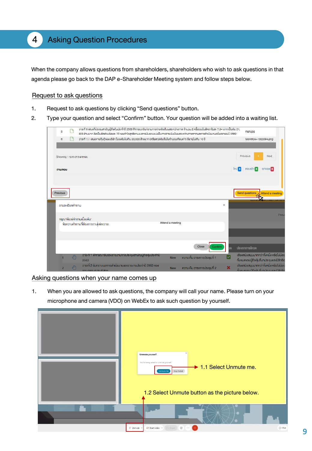When the company allows questions from shareholders, shareholders who wish to ask questions in that agenda please go back to the DAP e-Shareholder Meeting system and follow steps below.

#### Request to ask questions

- 1. Request to ask questions by clicking "Send questions" button.
- 2. Type your question and select "Confirm" button. Your question will be added into a waiting list.

| 5                           | $\Box$          | วาระที่ 6 เสมอที่ประชุมสามัญผู้ถือหุ้นประจำปี 2563 พิจารณารับทราบการจ่ายเงินปั้นผลระหว่างกาล จำนวน 2 ครั้งรวมในอัตราหุ้นละ 7.34 บาท เป็นเงิน 21,<br>823 ล้านบาท คิดเป็นสัดส่วนร้อยละ 70 ของทำไรสุทธิดาบงบทารเงินรวมแบ่งเป็นการจ่ายเงินบันผลระหว่างทาลจากผลการคำเนินงานครึ่งแรกของปี 2562 |                                            | man.jpg                                                                                 |
|-----------------------------|-----------------|------------------------------------------------------------------------------------------------------------------------------------------------------------------------------------------------------------------------------------------------------------------------------------------|--------------------------------------------|-----------------------------------------------------------------------------------------|
| 6                           |                 | วาระที่ 7.1 เสนองายหันทั้งองบริษัท ในวงเงินไม่เทิน 20,000 ล้านบาท (หรือสกลเงินอื่นในจำนวนเทียบเท่า) มีอายไม่เทิน 10 ปี                                                                                                                                                                   |                                            | Workflow-1000094.png                                                                    |
| Showing 1 to 6 of 6 entries |                 |                                                                                                                                                                                                                                                                                          |                                            | Previous<br>Next                                                                        |
| mu/nou                      |                 |                                                                                                                                                                                                                                                                                          | <b>THU O</b>                               | anase o<br><b>PROUDER</b>                                                               |
|                             |                 |                                                                                                                                                                                                                                                                                          |                                            |                                                                                         |
| Previous                    |                 |                                                                                                                                                                                                                                                                                          |                                            | Send questions I Attend a meeting                                                       |
|                             | รายละเอียดคำกาม |                                                                                                                                                                                                                                                                                          | $\times$                                   |                                                                                         |
|                             |                 | กรุณาพิมพ์คำถามเบื้องต้น*                                                                                                                                                                                                                                                                |                                            |                                                                                         |
|                             |                 | Attend a meeting<br>งือความคำถามที่ต้องการถามแต่ละอาระ                                                                                                                                                                                                                                   |                                            |                                                                                         |
|                             |                 |                                                                                                                                                                                                                                                                                          |                                            |                                                                                         |
|                             |                 |                                                                                                                                                                                                                                                                                          | Close<br>Confirm<br>າຕ                     | ประเภทการโหวต                                                                           |
|                             | ( <sup>ff</sup> | ้วาระทิ 1 พิจารณารับรองรายงานการประชุมสามัญผู้ถือหุ้นประจำปิ<br><b>New</b><br>2563                                                                                                                                                                                                       | ☞<br>ความเห็น อาระการประชุมที่ 1           | เสียงสนับสนุนมากกว่าที่งหนึ่ง หรือไม่น้อย<br>ทั้งหมดของผู้ถือหุ้นที่มาประชุมและมีสิทธิอ |
|                             |                 | ้วาระที่ 2 รับทราบผลการคำเนินงานและรายงานประจำปี 2563 ของ<br><b>New</b><br>คิกเะกรรมการมริเจิกิต                                                                                                                                                                                         | $\mathbf x$<br>ความเห็น วาระการประชุมที่ 2 | เสียงสนับสนุนมากกว่าที่งหนึ่ง หรือไม่น้อย<br>ทั้งหมดของผู้ถือห้มที่มาประชุมและมีสิทธิอ  |

#### Asking questions when your name comes up

1. When you are allowed to ask questions, the company will call your name. Please turn on your microphone and camera (VDO) on WebEx to ask such question by yourself.

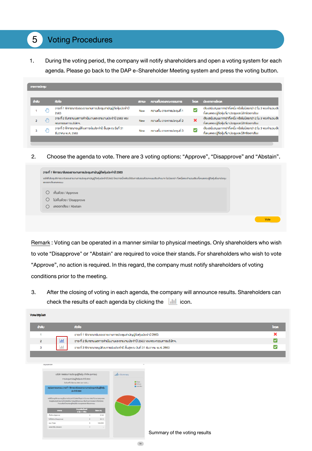### 5 Voting Procedures

1. During the voting period, the company will notify shareholders and open a voting system for each agenda. Please go back to the DAP e-Shareholder Meeting system and press the voting button.

| <b>วาระการประชบ</b> |               |                                                                                  |            |                            |                |                                                                                                                        |
|---------------------|---------------|----------------------------------------------------------------------------------|------------|----------------------------|----------------|------------------------------------------------------------------------------------------------------------------------|
| ลำคับ               |               | ห้วง้อ                                                                           | amus       | ความเห็นของคณะกรรมการ      |                | <b>Thon Us:</b> InnmsThon                                                                                              |
|                     |               | วาระที่ 1 พิจารณารับรองรายงานการประชุมสามัญผู้ถือหุ้นประจำปี<br>2563             | <b>New</b> | ความเห็น อาระการประชมที่ 1 |                | เสียงสนับสนุนมากกว่าที่งหนึ่ง หรือไม่น้อยกว่า 2 ใน 3 ของจำนวนเสีย<br>ทั้งหมดงองผู้ถือหุ้นที่มาประชุมและมีสิทธิออกเสียง |
| $\mathbf{P}$        | $d^{\rm III}$ | วาระที่ 2 รับทราบผลการคำเนินงานและรายงานประจำปี 2563 ของ<br>คณะกรรมการบริษัทฯ.   | <b>New</b> | ความเห็น วาระการประชมที่ 2 | $\pmb{\times}$ | เสียงสนับสนุนมากกว่าที่งหนึ่ง หรือไม่น้อยกว่า 2 ใน 3 ของจำนวนเสีย<br>ทั้งหมดงองผู้ถือหุ้นที่มาประชุมและมีสิทธิออกเสียง |
| 3                   |               | วาระที่ 3 พิจารณาอนมิติงบการเงินประจำปี สิ้นสุด ณ วันที่ 31<br>ธินวาคม พ.ศ. 2563 | <b>New</b> | ความเห็น วาระการประชมที่ 3 | M              | เสียงสนับสนุนมากกว่าที่งหนึ่ง หรือไม่น้อยกว่า 2 ใน 3 ของจำนวนเสีย<br>ทั้งหมดงองผู้ถือหุ้นที่มาประชุมและมีสิทธิออกเสียง |
|                     |               |                                                                                  |            |                            |                |                                                                                                                        |

2. Choose the agenda to vote. There are 3 voting options: "Approve", "Disapprove"and "Abstain".

| งอให้ที่ประชุมพิจารณารับรองรายงานการประชุมสามัญผู้ถือหุ้นประจำปี 2663 โดยวาระนี้จะต้องได้รับการรับรองคือยคะแนนสียงง้างมาก ไม่น้อยกว่า กึ่งหนึ่งของจำนวนเสียงกึ่งหมดของผู้ถือหุ้นซึ่งมาประชุม<br>และออกเสียงลงคะแนน |  |
|--------------------------------------------------------------------------------------------------------------------------------------------------------------------------------------------------------------------|--|
| เห็นด้วย / Approve                                                                                                                                                                                                 |  |
| ไม่เห็นด้วย / Disapprove                                                                                                                                                                                           |  |
| งคออกเสียง / Abstain                                                                                                                                                                                               |  |

Remark: Voting can be operated in a manner similar to physical meetings. Only shareholders who wish to vote "Disapprove" or "Abstain" are required to voice their stands. For shareholders who wish to vote "Approve", no action is required. In this regard, the company must notify shareholders of voting conditions prior to the meeting.

3. After the closing of voting in each agenda, the company will announce results. Shareholders can check the results of each agenda by clicking the  $\|\cdot\|$  icon.

| Vote/asulua    |                                                                                    |      |
|----------------|------------------------------------------------------------------------------------|------|
| ล่าคับ         | หัวข้อ                                                                             | Troc |
|                | วาระที่ 1 พิจารณารับรองรายงานการประชุมสามัญผู้ถือหุ้นประจำปี 2563                  |      |
| $\overline{2}$ | Ыđ<br>่ วาระที่ 2 รับทราบผลการคำเนินงานและรายงานประจำปี 2563 ของคณะกรรมการบริษัทฯ. |      |
|                | วาระที่ 3 พิจารณาอนุมัติงบการเงินประจำปี สิ้นสุด ณ วินที่ 31 ธันวาคม พ.ศ. 2563     |      |
|                |                                                                                    |      |

|                   | บริษัท ทคสอบการประชุมผู้ถือหุ้น จำกัด (มหาชน)                                                                                                                                                   |                     | all e-Summary.                |  |
|-------------------|-------------------------------------------------------------------------------------------------------------------------------------------------------------------------------------------------|---------------------|-------------------------------|--|
|                   | การประชุมสามัญผู้ถือคุ้นประจำปี 2563                                                                                                                                                            |                     |                               |  |
|                   | Sulkan@ a Barney 2663 cars 14:00 u.                                                                                                                                                             |                     | <b>B</b> Avev<br><b>MILLA</b> |  |
|                   | ะสนุปนลการลงคะแนะอาระที่ 1 พิจารณาธิบรองรายงานการประชุมสามัญผู้ที่อคุ้น<br><b>Us-910 2563</b>                                                                                                   |                     | <b>III</b> intended           |  |
|                   | บอลเดอกรากนาวให้ 595 นาคาราช สุระดิ 594 นิตรานี 594 นาคาราช 254 นาคาราช 254 นาคาราช 254 นาคาราช 254                                                                                             |                     |                               |  |
| mont              | ใหญ่สอบนิญที่ โคเชาะเนื้อเห็ดมีที่ขึ้นทารขนูมีฟิตอเหแนะเสียงใจนาก ไม่มีอยู่ทั่วที่ละมีลงอยู่<br>งำนวนเห็นเกื้อรมเของผู้ถือริมชื่อมามัยชุมเสเตอกเสียงลงกลมม<br><b><i><u>Exactiveland</u></i></b> | $f_{\text{max}}(n)$ |                               |  |
| Autou (Approve)   | $(1 - 1 - 1 - 1)$                                                                                                                                                                               | 67.85               |                               |  |
| Linufor Desproyer |                                                                                                                                                                                                 | 22.15               |                               |  |
| spo (Total)       |                                                                                                                                                                                                 | 100,0000            |                               |  |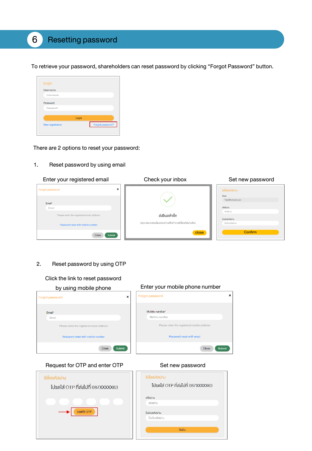### 6 Resetting password

To retrieve your password, shareholders can reset password by clicking "Forgot Password" button.



There are 2 options to reset your password:

1. Reset password by using email



#### 2. Reset password by using OTP

#### Click the link to reset password



#### Request for OTP and enter OTP Set new password

โปรดใส่ OTP ที่ส่งไปที่ 087XXXXX63

vosna OTP

รีเซ็ตรหัสผ่าน